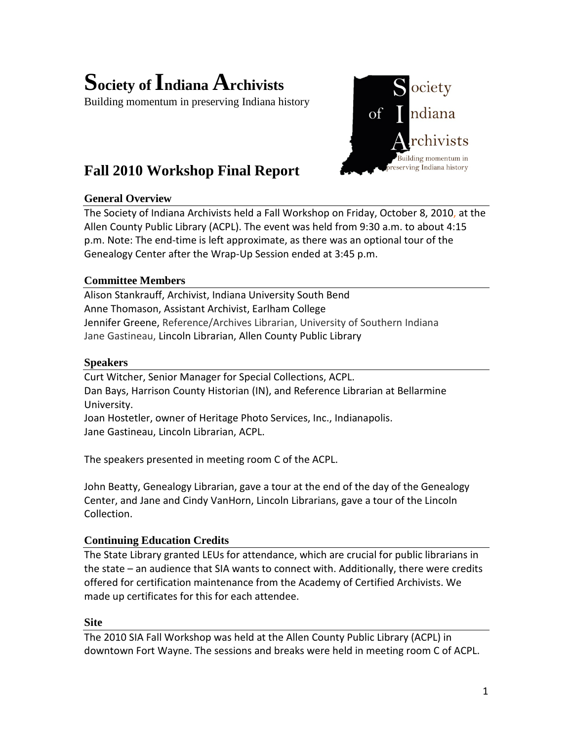# **Society of Indiana Archivists**

Building momentum in preserving Indiana history

# **Fall 2010 Workshop Final Report**

# **General Overview**

The Society of Indiana Archivists held a Fall Workshop on Friday, October 8, 2010, at the Allen County Public Library (ACPL). The event was held from 9:30 a.m. to about 4:15 p.m. Note: The end-time is left approximate, as there was an optional tour of the Genealogy Center after the Wrap-Up Session ended at 3:45 p.m.

ociety

 $\overline{\text{of}}$ 

ndiana

Building momentum in reserving Indiana history

# **Committee Members**

Alison Stankrauff, Archivist, Indiana University South Bend Anne Thomason, Assistant Archivist, Earlham College Jennifer Greene, Reference/Archives Librarian, University of Southern Indiana Jane Gastineau, Lincoln Librarian, Allen County Public Library

#### **Speakers**

Curt Witcher, Senior Manager for Special Collections, ACPL. Dan Bays, Harrison County Historian (IN), and Reference Librarian at Bellarmine University. Joan Hostetler, owner of Heritage Photo Services, Inc., Indianapolis.

Jane Gastineau, Lincoln Librarian, ACPL.

The speakers presented in meeting room C of the ACPL.

John Beatty, Genealogy Librarian, gave a tour at the end of the day of the Genealogy Center, and Jane and Cindy VanHorn, Lincoln Librarians, gave a tour of the Lincoln Collection.

# **Continuing Education Credits**

The State Library granted LEUs for attendance, which are crucial for public librarians in the state – an audience that SIA wants to connect with. Additionally, there were credits offered for certification maintenance from the Academy of Certified Archivists. We made up certificates for this for each attendee.

#### **Site**

The 2010 SIA Fall Workshop was held at the Allen County Public Library (ACPL) in downtown Fort Wayne. The sessions and breaks were held in meeting room C of ACPL.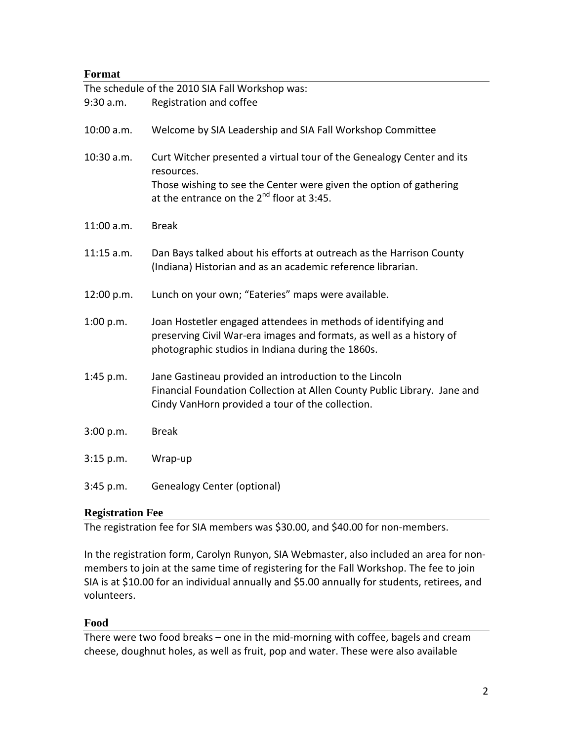### **Format**

|              | The schedule of the 2010 SIA Fall Workshop was:                                                                                                                                                                    |
|--------------|--------------------------------------------------------------------------------------------------------------------------------------------------------------------------------------------------------------------|
| 9:30 a.m.    | Registration and coffee                                                                                                                                                                                            |
| 10:00 a.m.   | Welcome by SIA Leadership and SIA Fall Workshop Committee                                                                                                                                                          |
| $10:30$ a.m. | Curt Witcher presented a virtual tour of the Genealogy Center and its<br>resources.<br>Those wishing to see the Center were given the option of gathering<br>at the entrance on the 2 <sup>nd</sup> floor at 3:45. |
| $11:00$ a.m. | <b>Break</b>                                                                                                                                                                                                       |
| $11:15$ a.m. | Dan Bays talked about his efforts at outreach as the Harrison County<br>(Indiana) Historian and as an academic reference librarian.                                                                                |
| 12:00 p.m.   | Lunch on your own; "Eateries" maps were available.                                                                                                                                                                 |
| 1:00 p.m.    | Joan Hostetler engaged attendees in methods of identifying and<br>preserving Civil War-era images and formats, as well as a history of<br>photographic studios in Indiana during the 1860s.                        |
| 1:45 p.m.    | Jane Gastineau provided an introduction to the Lincoln<br>Financial Foundation Collection at Allen County Public Library. Jane and<br>Cindy VanHorn provided a tour of the collection.                             |
| 3:00 p.m.    | <b>Break</b>                                                                                                                                                                                                       |
| 3:15 p.m.    | Wrap-up                                                                                                                                                                                                            |
| 3:45 p.m.    | <b>Genealogy Center (optional)</b>                                                                                                                                                                                 |

#### **Registration Fee**

The registration fee for SIA members was \$30.00, and \$40.00 for non-members.

In the registration form, Carolyn Runyon, SIA Webmaster, also included an area for nonmembers to join at the same time of registering for the Fall Workshop. The fee to join SIA is at \$10.00 for an individual annually and \$5.00 annually for students, retirees, and volunteers.

#### **Food**

There were two food breaks – one in the mid-morning with coffee, bagels and cream cheese, doughnut holes, as well as fruit, pop and water. These were also available